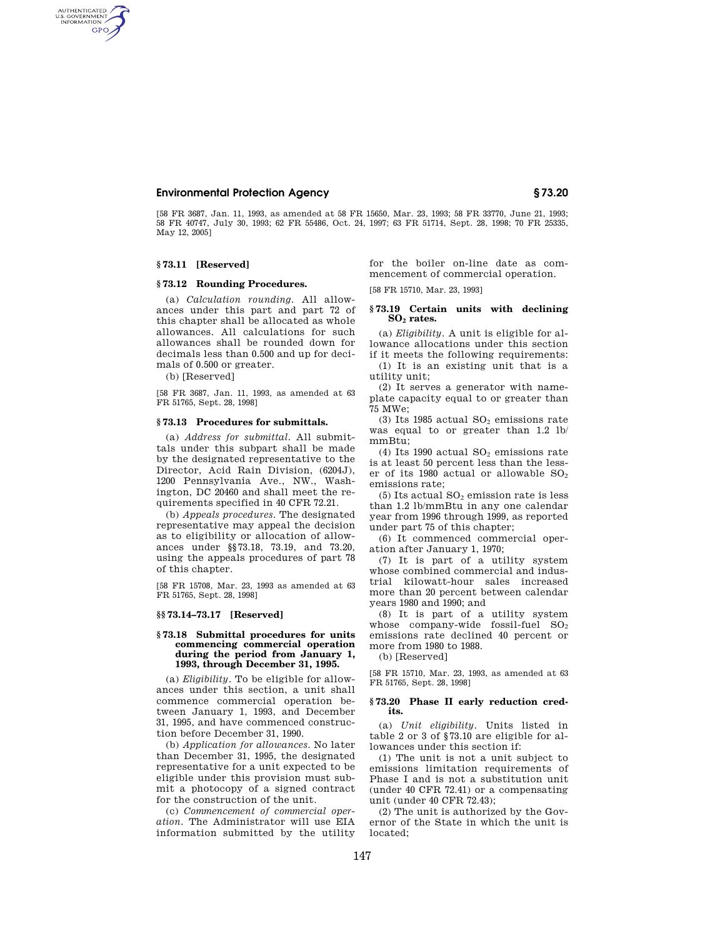# **Environmental Protection Agency § 73.20**

[58 FR 3687, Jan. 11, 1993, as amended at 58 FR 15650, Mar. 23, 1993; 58 FR 33770, June 21, 1993; 58 FR 40747, July 30, 1993; 62 FR 55486, Oct. 24, 1997; 63 FR 51714, Sept. 28, 1998; 70 FR 25335, May 12, 2005]

### **§ 73.11 [Reserved]**

AUTHENTICATED<br>U.S. GOVERNMENT<br>INFORMATION GPO

## **§ 73.12 Rounding Procedures.**

(a) *Calculation rounding.* All allowances under this part and part 72 of this chapter shall be allocated as whole allowances. All calculations for such allowances shall be rounded down for decimals less than 0.500 and up for decimals of 0.500 or greater.

(b) [Reserved]

[58 FR 3687, Jan. 11, 1993, as amended at 63 FR 51765, Sept. 28, 1998]

### **§ 73.13 Procedures for submittals.**

(a) *Address for submittal.* All submittals under this subpart shall be made by the designated representative to the Director, Acid Rain Division, (6204J), 1200 Pennsylvania Ave., NW., Washington, DC 20460 and shall meet the requirements specified in 40 CFR 72.21.

(b) *Appeals procedures.* The designated representative may appeal the decision as to eligibility or allocation of allowances under §§73.18, 73.19, and 73.20, using the appeals procedures of part 78 of this chapter.

[58 FR 15708, Mar. 23, 1993 as amended at 63 FR 51765, Sept. 28, 1998]

### **§§ 73.14–73.17 [Reserved]**

### **§ 73.18 Submittal procedures for units commencing commercial operation during the period from January 1, 1993, through December 31, 1995.**

(a) *Eligibility.* To be eligible for allowances under this section, a unit shall commence commercial operation between January 1, 1993, and December 31, 1995, and have commenced construction before December 31, 1990.

(b) *Application for allowances.* No later than December 31, 1995, the designated representative for a unit expected to be eligible under this provision must submit a photocopy of a signed contract for the construction of the unit.

(c) *Commencement of commercial operation.* The Administrator will use EIA information submitted by the utility for the boiler on-line date as commencement of commercial operation.

[58 FR 15710, Mar. 23, 1993]

## **§ 73.19 Certain units with declining SO2 rates.**

(a) *Eligibility.* A unit is eligible for allowance allocations under this section if it meets the following requirements:

(1) It is an existing unit that is a utility unit;

(2) It serves a generator with nameplate capacity equal to or greater than 75 MWe;

(3) Its 1985 actual  $SO<sub>2</sub>$  emissions rate was equal to or greater than 1.2 lb/ mmBtu;

(4) Its 1990 actual  $SO<sub>2</sub>$  emissions rate is at least 50 percent less than the lesser of its 1980 actual or allowable  $SO_2$ emissions rate;

 $(5)$  Its actual  $SO<sub>2</sub>$  emission rate is less than 1.2 lb/mmBtu in any one calendar year from 1996 through 1999, as reported under part 75 of this chapter;

(6) It commenced commercial operation after January 1, 1970;

(7) It is part of a utility system whose combined commercial and industrial kilowatt-hour sales increased more than 20 percent between calendar years 1980 and 1990; and

(8) It is part of a utility system whose company-wide fossil-fuel SO<sub>2</sub> emissions rate declined 40 percent or more from 1980 to 1988.

(b) [Reserved]

[58 FR 15710, Mar. 23, 1993, as amended at 63 FR 51765, Sept. 28, 1998]

### **§ 73.20 Phase II early reduction credits.**

(a) *Unit eligibility.* Units listed in table 2 or 3 of §73.10 are eligible for allowances under this section if:

(1) The unit is not a unit subject to emissions limitation requirements of Phase I and is not a substitution unit (under 40 CFR 72.41) or a compensating unit (under 40 CFR 72.43);

(2) The unit is authorized by the Governor of the State in which the unit is located;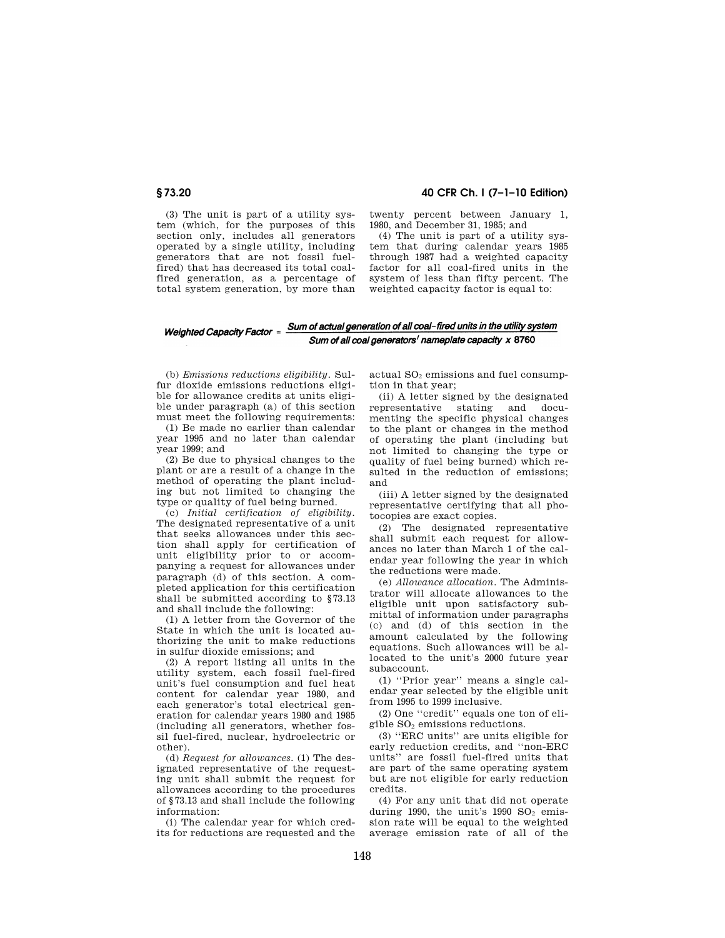(2) A report listing all units in the utility system, each fossil fuel-fired content for calendar year 1980, and each generator's total electrical genother).

(d) *Request for allowances.* (1) The designated representative of the requesting unit shall submit the request for allowances according to the procedures of §73.13 and shall include the following information:

(i) The calendar year for which credits for reductions are requested and the

**§ 73.20 40 CFR Ch. I (7–1–10 Edition)** 

twenty percent between January 1, 1980, and December 31, 1985; and

(4) The unit is part of a utility system that during calendar years 1985 through 1987 had a weighted capacity factor for all coal-fired units in the system of less than fifty percent. The weighted capacity factor is equal to:

# Sum of all coal generators' nameplate capacity x 8760

(b) *Emissions reductions eligibility.* Sulfur dioxide emissions reductions eligible for allowance credits at units eligible under paragraph (a) of this section must meet the following requirements:

(3) The unit is part of a utility system (which, for the purposes of this section only, includes all generators operated by a single utility, including generators that are not fossil fuelfired) that has decreased its total coalfired generation, as a percentage of total system generation, by more than

(1) Be made no earlier than calendar year 1995 and no later than calendar year 1999; and

(2) Be due to physical changes to the plant or are a result of a change in the method of operating the plant including but not limited to changing the type or quality of fuel being burned.

(c) *Initial certification of eligibility.*  The designated representative of a unit that seeks allowances under this section shall apply for certification of unit eligibility prior to or accompanying a request for allowances under paragraph (d) of this section. A completed application for this certification shall be submitted according to §73.13 and shall include the following:

(1) A letter from the Governor of the State in which the unit is located authorizing the unit to make reductions in sulfur dioxide emissions; and

unit's fuel consumption and fuel heat eration for calendar years 1980 and 1985 (including all generators, whether fossil fuel-fired, nuclear, hydroelectric or actual  $SO<sub>2</sub>$  emissions and fuel consumption in that year;

(ii) A letter signed by the designated representative stating and documenting the specific physical changes to the plant or changes in the method of operating the plant (including but not limited to changing the type or quality of fuel being burned) which resulted in the reduction of emissions; and

(iii) A letter signed by the designated representative certifying that all photocopies are exact copies.

(2) The designated representative shall submit each request for allowances no later than March 1 of the calendar year following the year in which the reductions were made.

(e) *Allowance allocation.* The Administrator will allocate allowances to the eligible unit upon satisfactory submittal of information under paragraphs (c) and (d) of this section in the amount calculated by the following equations. Such allowances will be allocated to the unit's 2000 future year subaccount.

(1) ''Prior year'' means a single calendar year selected by the eligible unit from 1995 to 1999 inclusive.

(2) One ''credit'' equals one ton of eligible  $SO<sub>2</sub>$  emissions reductions.

(3) ''ERC units'' are units eligible for early reduction credits, and ''non-ERC units'' are fossil fuel-fired units that are part of the same operating system but are not eligible for early reduction credits.

(4) For any unit that did not operate during 1990, the unit's 1990  $SO<sub>2</sub>$  emission rate will be equal to the weighted average emission rate of all of the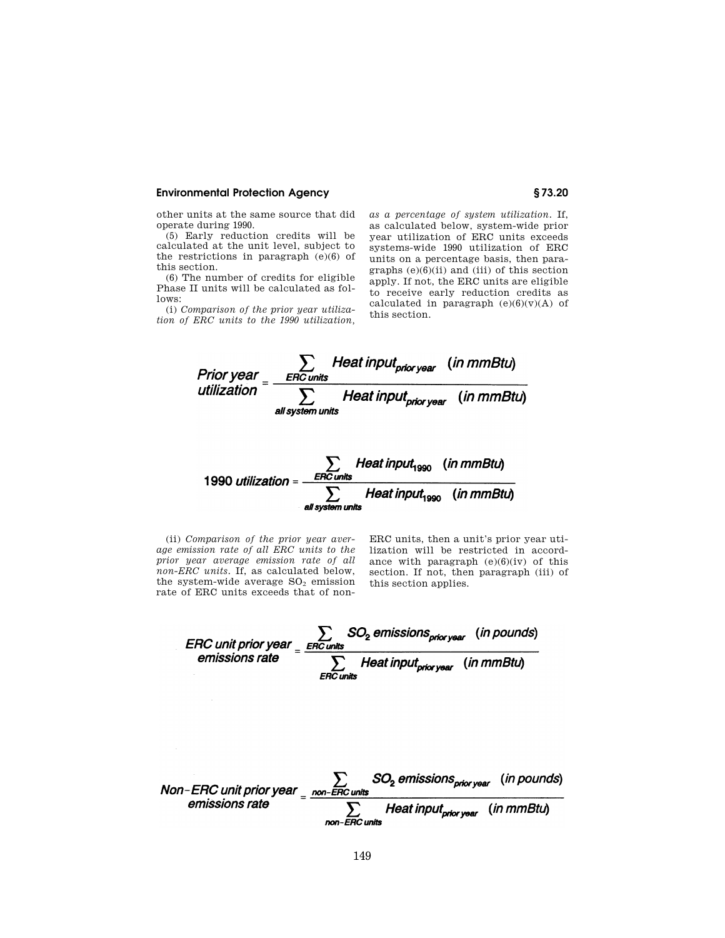## **Environmental Protection Agency § 73.20**

other units at the same source that did operate during 1990.

(5) Early reduction credits will be calculated at the unit level, subject to the restrictions in paragraph (e)(6) of this section.

(6) The number of credits for eligible Phase II units will be calculated as follows:

(i) *Comparison of the prior year utilization of ERC units to the 1990 utilization,*  *as a percentage of system utilization.* If, as calculated below, system-wide prior year utilization of ERC units exceeds systems-wide 1990 utilization of ERC units on a percentage basis, then paragraphs  $(e)(6)(ii)$  and  $(iii)$  of this section apply. If not, the ERC units are eligible to receive early reduction credits as calculated in paragraph  $(e)(6)(v)(A)$  of this section.



(ii) *Comparison of the prior year average emission rate of all ERC units to the prior year average emission rate of all non-ERC units.* If, as calculated below, the system-wide average  $SO<sub>2</sub>$  emission rate of ERC units exceeds that of nonERC units, then a unit's prior year utilization will be restricted in accordance with paragraph  $(e)(6)(iv)$  of this section. If not, then paragraph (iii) of this section applies.

ERC unit prior year  $\frac{1}{2}$  =  $\frac{ERC}{ERC}$  units emissions rate  $\frac{1}{2}$  Heat input<sub>prior year</sub> (in mmBtu)

Non-ERC unit prior year  $\frac{2}{\sqrt{1-\frac{1}{2} m n^2}}$  SO<sub>2</sub> emissions <sub>prior year</sub> (in pounds)<br>emissions rate  $\frac{2}{\sqrt{1-\frac{1}{2} m n^2}}$  Heat input<sub>prior year</sub> (in mmBtu)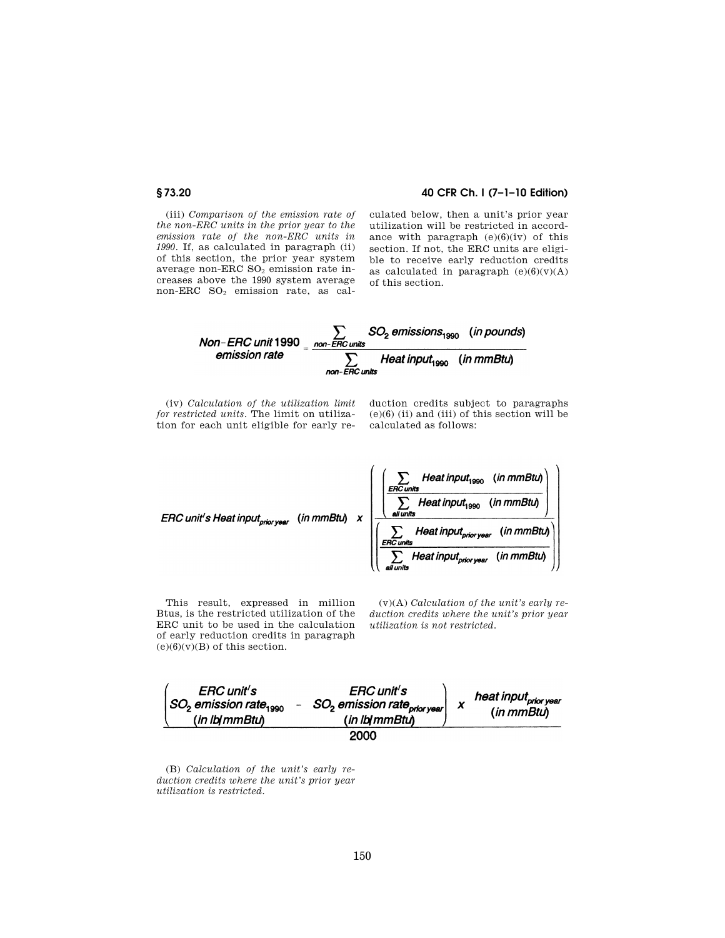# **§ 73.20 40 CFR Ch. I (7–1–10 Edition)**

(iii) *Comparison of the emission rate of the non-ERC units in the prior year to the emission rate of the non-ERC units in 1990.* If, as calculated in paragraph (ii) of this section, the prior year system average non-ERC  $SO<sub>2</sub>$  emission rate increases above the 1990 system average non-ERC SO<sub>2</sub> emission rate, as calculated below, then a unit's prior year utilization will be restricted in accordance with paragraph  $(e)(6)(iv)$  of this section. If not, the ERC units are eligible to receive early reduction credits as calculated in paragraph  $(e)(6)(v)(A)$ of this section.



(iv) *Calculation of the utilization limit for restricted units.* The limit on utilization for each unit eligible for early reduction credits subject to paragraphs  $(e)(6)$  (ii) and (iii) of this section will be calculated as follows:



This result, expressed in million Btus, is the restricted utilization of the ERC unit to be used in the calculation of early reduction credits in paragraph  $(e)(6)(v)(B)$  of this section.

(v)(A) *Calculation of the unit's early reduction credits where the unit's prior year utilization is not restricted.* 



(B) *Calculation of the unit's early reduction credits where the unit's prior year utilization is restricted.*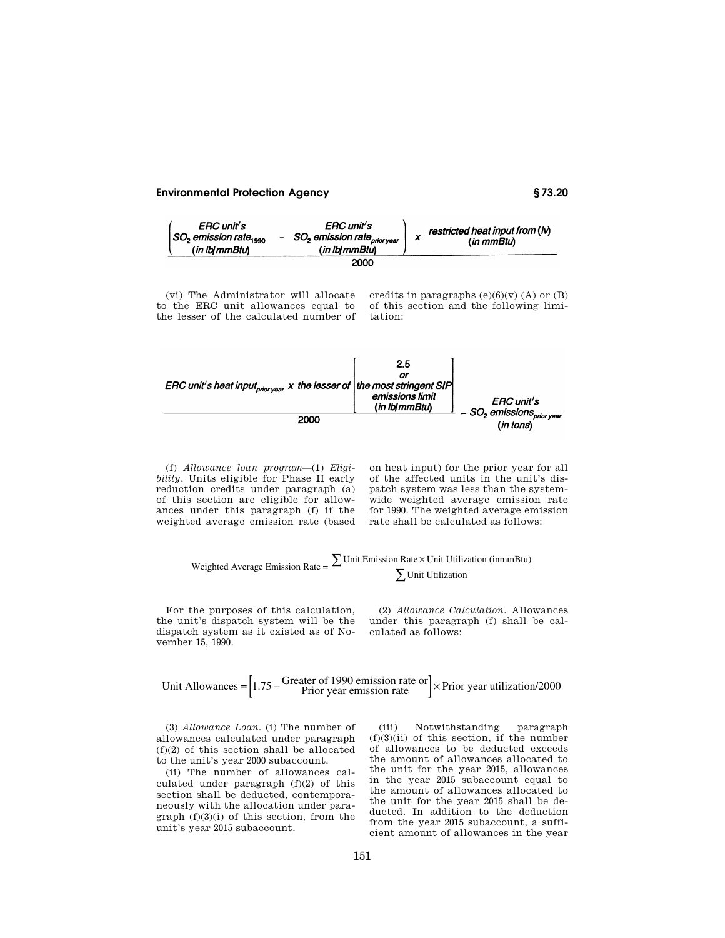# **Environmental Protection Agency § 73.20**



(vi) The Administrator will allocate to the ERC unit allowances equal to the lesser of the calculated number of credits in paragraphs  $(e)(6)(v)$  (A) or  $(B)$ of this section and the following limitation:



(f) *Allowance loan program*—(1) *Eligibility.* Units eligible for Phase II early reduction credits under paragraph (a) of this section are eligible for allowances under this paragraph (f) if the weighted average emission rate (based

on heat input) for the prior year for all of the affected units in the unit's dispatch system was less than the systemwide weighted average emission rate for 1990. The weighted average emission rate shall be calculated as follows:

$$
Weighted Average Emission Rate = \frac{\sum Unit Emission Rate \times Unit Utilization (inmmBtu)}{\sum Unit Utilization}
$$

For the purposes of this calculation, the unit's dispatch system will be the dispatch system as it existed as of November 15, 1990.

(2) *Allowance Calculation.* Allowances under this paragraph (f) shall be calculated as follows:

Unit Allowances = 
$$
\begin{bmatrix} 1.75 - \text{Greatest of 1990 emission rate or} \\ \text{Prior year emission rate} \end{bmatrix} \times \text{Prior year utilization/2000}
$$

(3) *Allowance Loan.* (i) The number of allowances calculated under paragraph (f)(2) of this section shall be allocated to the unit's year 2000 subaccount.

(ii) The number of allowances calculated under paragraph (f)(2) of this section shall be deducted, contemporaneously with the allocation under paragraph  $(f)(3)(i)$  of this section, from the unit's year 2015 subaccount.

(iii) Notwithstanding paragraph  $(f)(3)(ii)$  of this section, if the number of allowances to be deducted exceeds the amount of allowances allocated to the unit for the year 2015, allowances in the year 2015 subaccount equal to the amount of allowances allocated to the unit for the year 2015 shall be deducted. In addition to the deduction from the year 2015 subaccount, a sufficient amount of allowances in the year